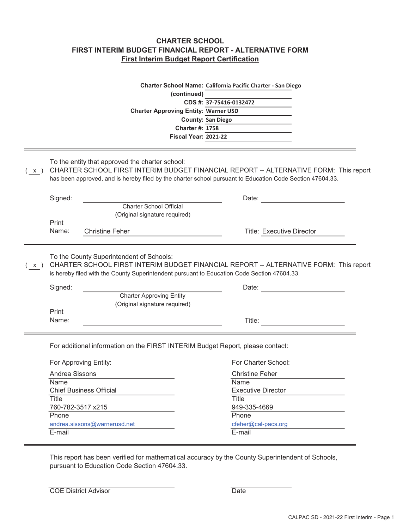## CHARTER SCHOOL FIRST INTERIM BUDGET FINANCIAL REPORT - ALTERNATIVE FORM First Interim Budget Report Certification

|                |                                                                                                                                                                                                                                                       |                                                                                                                                                                                                                                  | (continued)<br>CDS #: 37-75416-0132472<br><b>Charter Approving Entity: Warner USD</b><br><b>County: San Diego</b><br><b>Charter #: 1758</b><br><b>Fiscal Year: 2021-22</b> | Charter School Name: California Pacific Charter - San Diego |  |  |  |  |  |  |
|----------------|-------------------------------------------------------------------------------------------------------------------------------------------------------------------------------------------------------------------------------------------------------|----------------------------------------------------------------------------------------------------------------------------------------------------------------------------------------------------------------------------------|----------------------------------------------------------------------------------------------------------------------------------------------------------------------------|-------------------------------------------------------------|--|--|--|--|--|--|
| $\mathsf{X}$ ) | To the entity that approved the charter school:<br>CHARTER SCHOOL FIRST INTERIM BUDGET FINANCIAL REPORT -- ALTERNATIVE FORM: This report<br>has been approved, and is hereby filed by the charter school pursuant to Education Code Section 47604.33. |                                                                                                                                                                                                                                  |                                                                                                                                                                            |                                                             |  |  |  |  |  |  |
|                | Signed:                                                                                                                                                                                                                                               |                                                                                                                                                                                                                                  |                                                                                                                                                                            | Date:                                                       |  |  |  |  |  |  |
|                | Print<br>Name:                                                                                                                                                                                                                                        | <b>Charter School Official</b><br>(Original signature required)<br><b>Christine Feher</b>                                                                                                                                        |                                                                                                                                                                            | <b>Title: Executive Director</b>                            |  |  |  |  |  |  |
| X)             |                                                                                                                                                                                                                                                       | To the County Superintendent of Schools:<br>CHARTER SCHOOL FIRST INTERIM BUDGET FINANCIAL REPORT -- ALTERNATIVE FORM: This report<br>is hereby filed with the County Superintendent pursuant to Education Code Section 47604.33. |                                                                                                                                                                            |                                                             |  |  |  |  |  |  |
|                | Signed:                                                                                                                                                                                                                                               | <b>Charter Approving Entity</b><br>(Original signature required)                                                                                                                                                                 |                                                                                                                                                                            | Date:                                                       |  |  |  |  |  |  |
|                | Print<br>Name:                                                                                                                                                                                                                                        |                                                                                                                                                                                                                                  |                                                                                                                                                                            | Title:                                                      |  |  |  |  |  |  |
|                | <b>For Approving Entity:</b>                                                                                                                                                                                                                          | For additional information on the FIRST INTERIM Budget Report, please contact:                                                                                                                                                   |                                                                                                                                                                            | For Charter School:                                         |  |  |  |  |  |  |
|                | Andrea Sissons                                                                                                                                                                                                                                        |                                                                                                                                                                                                                                  |                                                                                                                                                                            | <b>Christine Feher</b>                                      |  |  |  |  |  |  |
|                | Name                                                                                                                                                                                                                                                  | <b>Chief Business Official</b>                                                                                                                                                                                                   |                                                                                                                                                                            | Name<br><b>Executive Director</b>                           |  |  |  |  |  |  |
|                | Title                                                                                                                                                                                                                                                 |                                                                                                                                                                                                                                  |                                                                                                                                                                            | <b>Title</b>                                                |  |  |  |  |  |  |
|                | 760-782-3517 x215                                                                                                                                                                                                                                     |                                                                                                                                                                                                                                  |                                                                                                                                                                            | 949-335-4669                                                |  |  |  |  |  |  |
|                | Phone                                                                                                                                                                                                                                                 |                                                                                                                                                                                                                                  |                                                                                                                                                                            | Phone                                                       |  |  |  |  |  |  |
|                | E-mail                                                                                                                                                                                                                                                | andrea.sissons@warnerusd.net                                                                                                                                                                                                     |                                                                                                                                                                            | cfeher@cal-pacs.org<br>E-mail                               |  |  |  |  |  |  |
|                |                                                                                                                                                                                                                                                       |                                                                                                                                                                                                                                  |                                                                                                                                                                            |                                                             |  |  |  |  |  |  |

This report has been verified for mathematical accuracy by the County Superintendent of Schools, pursuant to Education Code Section 47604.33.

| <b>COE District Advisor</b> | Date |
|-----------------------------|------|
|-----------------------------|------|

 $\equiv$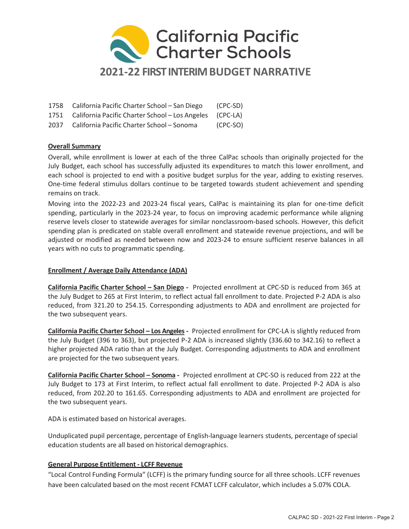

| 1758 California Pacific Charter School – San Diego            | (CPC-SD) |
|---------------------------------------------------------------|----------|
| 1751 California Pacific Charter School - Los Angeles (CPC-LA) |          |

2037 California Pacific Charter School – Sonoma (CPC-SO)

## Overall Summary

Overall, while enrollment is lower at each of the three CalPac schools than originally projected for the July Budget, each school has successfully adjusted its expenditures to match this lower enrollment, and each school is projected to end with a positive budget surplus for the year, adding to existing reserves. One-time federal stimulus dollars continue to be targeted towards student achievement and spending remains on track.

Moving into the 2022-23 and 2023-24 fiscal years, CalPac is maintaining its plan for one-time deficit spending, particularly in the 2023-24 year, to focus on improving academic performance while aligning reserve levels closer to statewide averages for similar nonclassroom-based schools. However, this deficit spending plan is predicated on stable overall enrollment and statewide revenue projections, and will be adjusted or modified as needed between now and 2023-24 to ensure sufficient reserve balances in all years with no cuts to programmatic spending.

### Enrollment / Average Daily Attendance (ADA)

California Pacific Charter School – San Diego - Projected enrollment at CPC-SD is reduced from 365 at the July Budget to 265 at First Interim, to reflect actual fall enrollment to date. Projected P-2 ADA is also reduced, from 321.20 to 254.15. Corresponding adjustments to ADA and enrollment are projected for the two subsequent years.

California Pacific Charter School – Los Angeles - Projected enrollment for CPC-LA is slightly reduced from the July Budget (396 to 363), but projected P-2 ADA is increased slightly (336.60 to 342.16) to reflect a higher projected ADA ratio than at the July Budget. Corresponding adjustments to ADA and enrollment are projected for the two subsequent years.

California Pacific Charter School – Sonoma - Projected enrollment at CPC-SO is reduced from 222 at the July Budget to 173 at First Interim, to reflect actual fall enrollment to date. Projected P-2 ADA is also reduced, from 202.20 to 161.65. Corresponding adjustments to ADA and enrollment are projected for the two subsequent years.

ADA is estimated based on historical averages.

Unduplicated pupil percentage, percentage of English-language learners students, percentage of special education students are all based on historical demographics.

## General Purpose Entitlement - LCFF Revenue

"Local Control Funding Formula" (LCFF) is the primary funding source for all three schools. LCFF revenues have been calculated based on the most recent FCMAT LCFF calculator, which includes a 5.07% COLA.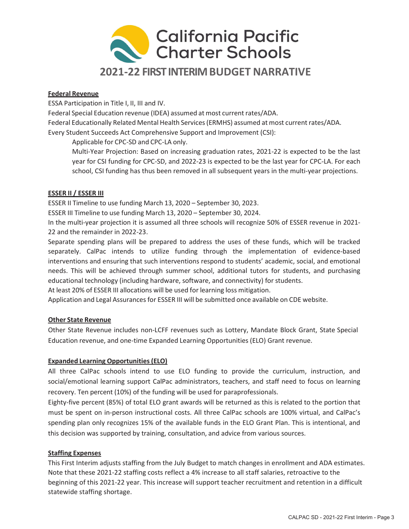

#### Federal Revenue

ESSA Participation in Title I, II, III and IV.

Federal Special Education revenue (IDEA) assumed at most current rates/ADA.

Federal Educationally Related Mental Health Services (ERMHS) assumed at most current rates/ADA. Every Student Succeeds Act Comprehensive Support and Improvement (CSI):

Applicable for CPC-SD and CPC-LA only.

Multi-Year Projection: Based on increasing graduation rates, 2021-22 is expected to be the last year for CSI funding for CPC-SD, and 2022-23 is expected to be the last year for CPC-LA. For each school, CSI funding has thus been removed in all subsequent years in the multi-year projections.

#### ESSER II / ESSER III

ESSER II Timeline to use funding March 13, 2020 – September 30, 2023.

ESSER III Timeline to use funding March 13, 2020 – September 30, 2024.

In the multi-year projection it is assumed all three schools will recognize 50% of ESSER revenue in 2021- 22 and the remainder in 2022-23.

Separate spending plans will be prepared to address the uses of these funds, which will be tracked separately. CalPac intends to utilize funding through the implementation of evidence-based interventions and ensuring that such interventions respond to students' academic, social, and emotional needs. This will be achieved through summer school, additional tutors for students, and purchasing educational technology (including hardware, software, and connectivity) for students.

At least 20% of ESSER III allocations will be used for learning loss mitigation.

Application and Legal Assurances for ESSER III will be submitted once available on CDE website.

### Other State Revenue

Other State Revenue includes non-LCFF revenues such as Lottery, Mandate Block Grant, State Special Education revenue, and one-time Expanded Learning Opportunities (ELO) Grant revenue.

#### Expanded Learning Opportunities (ELO)

All three CalPac schools intend to use ELO funding to provide the curriculum, instruction, and social/emotional learning support CalPac administrators, teachers, and staff need to focus on learning recovery. Ten percent (10%) of the funding will be used for paraprofessionals.

Eighty-five percent (85%) of total ELO grant awards will be returned as this is related to the portion that must be spent on in-person instructional costs. All three CalPac schools are 100% virtual, and CalPac's spending plan only recognizes 15% of the available funds in the ELO Grant Plan. This is intentional, and this decision was supported by training, consultation, and advice from various sources.

#### Staffing Expenses

This First Interim adjusts staffing from the July Budget to match changes in enrollment and ADA estimates. Note that these 2021-22 staffing costs reflect a 4% increase to all staff salaries, retroactive to the beginning of this 2021-22 year. This increase will support teacher recruitment and retention in a difficult statewide staffing shortage.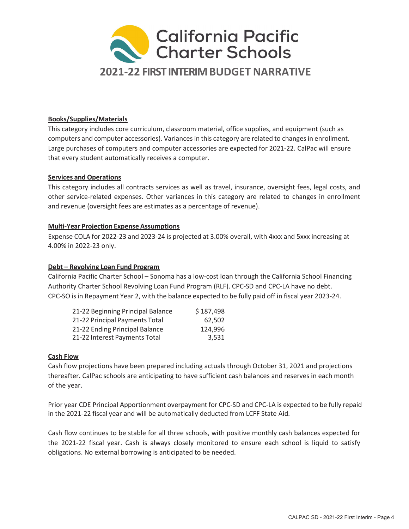

#### Books/Supplies/Materials

This category includes core curriculum, classroom material, office supplies, and equipment (such as computers and computer accessories). Variances in this category are related to changes in enrollment. Large purchases of computers and computer accessories are expected for 2021-22. CalPac will ensure that every student automatically receives a computer.

#### Services and Operations

This category includes all contracts services as well as travel, insurance, oversight fees, legal costs, and other service-related expenses. Other variances in this category are related to changes in enrollment and revenue (oversight fees are estimates as a percentage of revenue).

#### Multi-Year Projection Expense Assumptions

Expense COLA for 2022-23 and 2023-24 is projected at 3.00% overall, with 4xxx and 5xxx increasing at 4.00% in 2022-23 only.

#### Debt – Revolving Loan Fund Program

California Pacific Charter School – Sonoma has a low-cost loan through the California School Financing Authority Charter School Revolving Loan Fund Program (RLF). CPC-SD and CPC-LA have no debt. CPC-SO is in Repayment Year 2, with the balance expected to be fully paid off in fiscal year 2023-24.

| 21-22 Beginning Principal Balance | \$187,498 |
|-----------------------------------|-----------|
| 21-22 Principal Payments Total    | 62.502    |
| 21-22 Ending Principal Balance    | 124,996   |
| 21-22 Interest Payments Total     | 3.531     |

#### Cash Flow

Cash flow projections have been prepared including actuals through October 31, 2021 and projections thereafter. CalPac schools are anticipating to have sufficient cash balances and reserves in each month of the year.

Prior year CDE Principal Apportionment overpayment for CPC-SD and CPC-LA is expected to be fully repaid in the 2021-22 fiscal year and will be automatically deducted from LCFF State Aid.

Cash flow continues to be stable for all three schools, with positive monthly cash balances expected for the 2021-22 fiscal year. Cash is always closely monitored to ensure each school is liquid to satisfy obligations. No external borrowing is anticipated to be needed.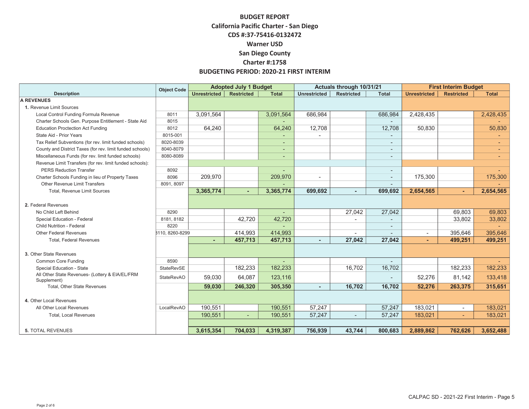|                                                                | <b>Object Code</b> | <b>Adopted July 1 Budget</b> |                   |                          | Actuals through 10/31/21 |                   |                          | <b>First Interim Budget</b> |                          |              |
|----------------------------------------------------------------|--------------------|------------------------------|-------------------|--------------------------|--------------------------|-------------------|--------------------------|-----------------------------|--------------------------|--------------|
| <b>Description</b>                                             |                    | Unrestricted                 | <b>Restricted</b> | <b>Total</b>             | <b>Unrestricted</b>      | <b>Restricted</b> | <b>Total</b>             | <b>Unrestricted</b>         | <b>Restricted</b>        | <b>Total</b> |
| <b>A REVENUES</b>                                              |                    |                              |                   |                          |                          |                   |                          |                             |                          |              |
| 1. Revenue Limit Sources                                       |                    |                              |                   |                          |                          |                   |                          |                             |                          |              |
| Local Control Funding Formula Revenue                          | 8011               | 3,091,564                    |                   | 3,091,564                | 686,984                  |                   | 686,984                  | 2,428,435                   |                          | 2,428,435    |
| Charter Schools Gen. Purpose Entitlement - State Aid           | 8015               |                              |                   |                          |                          |                   |                          |                             |                          |              |
| <b>Education Proctection Act Funding</b>                       | 8012               | 64,240                       |                   | 64,240                   | 12,708                   |                   | 12,708                   | 50,830                      |                          | 50,830       |
| State Aid - Prior Years                                        | 8015-001           |                              |                   |                          |                          |                   |                          |                             |                          |              |
| Tax Relief Subventions (for rev. limit funded schools)         | 8020-8039          |                              |                   | $\overline{\phantom{a}}$ |                          |                   | $\overline{\phantom{a}}$ |                             |                          |              |
| County and District Taxes (for rev. limit funded schools)      | 8040-8079          |                              |                   | $\overline{\phantom{a}}$ |                          |                   | ٠                        |                             |                          |              |
| Miscellaneous Funds (for rev. limit funded schools)            | 8080-8089          |                              |                   | $\overline{a}$           |                          |                   | ٠                        |                             |                          |              |
| Revenue Limit Transfers (for rev. limit funded schools):       |                    |                              |                   |                          |                          |                   |                          |                             |                          |              |
| <b>PERS Reduction Transfer</b>                                 | 8092               |                              |                   |                          |                          |                   | $\overline{\phantom{a}}$ |                             |                          |              |
| Charter Schools Funding in lieu of Property Taxes              | 8096               | 209,970                      |                   | 209,970                  |                          |                   | $\overline{\phantom{a}}$ | 175,300                     |                          | 175,300      |
| Other Revenue Limit Transfers                                  | 8091, 8097         |                              |                   |                          |                          |                   |                          |                             |                          |              |
| Total, Revenue Limit Sources                                   |                    | 3,365,774                    |                   | 3,365,774                | 699,692                  |                   | 699,692                  | 2,654,565                   |                          | 2,654,565    |
|                                                                |                    |                              |                   |                          |                          |                   |                          |                             |                          |              |
| 2. Federal Revenues                                            |                    |                              |                   |                          |                          |                   |                          |                             |                          |              |
| No Child Left Behind                                           | 8290               |                              |                   | $\overline{\phantom{a}}$ |                          | 27,042            | 27,042                   |                             | 69,803                   | 69,803       |
| Special Education - Federal                                    | 8181, 8182         |                              | 42,720            | 42,720                   |                          |                   |                          |                             | 33,802                   | 33,802       |
| Child Nutrition - Federal                                      | 8220               |                              |                   |                          |                          |                   |                          |                             |                          |              |
| Other Federal Revenues                                         | 8110, 8260-8299    |                              | 414,993           | 414,993                  |                          |                   |                          | $\overline{\phantom{a}}$    | 395,646                  | 395,646      |
| <b>Total, Federal Revenues</b>                                 |                    |                              | 457,713           | 457,713                  |                          | 27.042            | 27,042                   |                             | 499,251                  | 499,251      |
|                                                                |                    |                              |                   |                          |                          |                   |                          |                             |                          |              |
| 3. Other State Revenues                                        |                    |                              |                   |                          |                          |                   |                          |                             |                          |              |
| <b>Common Core Funding</b>                                     | 8590               |                              |                   |                          |                          |                   |                          |                             |                          |              |
| Special Education - State                                      | <b>StateRevSE</b>  |                              | 182,233           | 182,233                  |                          | 16,702            | 16,702                   |                             | 182,233                  | 182,233      |
| All Other State Revenues- (Lottery & EIA/EL/FRM<br>Supplement) | <b>StateRevAO</b>  | 59,030                       | 64,087            | 123,116                  |                          |                   |                          | 52,276                      | 81,142                   | 133,418      |
| Total, Other State Revenues                                    |                    | 59,030                       | 246,320           | 305,350                  |                          | 16,702            | 16,702                   | 52,276                      | 263,375                  | 315,651      |
|                                                                |                    |                              |                   |                          |                          |                   |                          |                             |                          |              |
| 4. Other Local Revenues                                        |                    |                              |                   |                          |                          |                   |                          |                             |                          |              |
| All Other Local Revenues                                       | LocalRevAO         | 190,551                      |                   | 190,551                  | 57,247                   |                   | 57,247                   | 183,021                     | $\overline{\phantom{a}}$ | 183,021      |
| <b>Total, Local Revenues</b>                                   |                    | 190,551                      |                   | 190,551                  | 57,247                   |                   | 57,247                   | 183,021                     | ٠                        | 183,021      |
|                                                                |                    |                              |                   |                          |                          |                   |                          |                             |                          |              |
| <b>5. TOTAL REVENUES</b>                                       |                    | 3,615,354                    | 704,033           | 4,319,387                | 756,939                  | 43,744            | 800,683                  | 2,889,862                   | 762,626                  | 3,652,488    |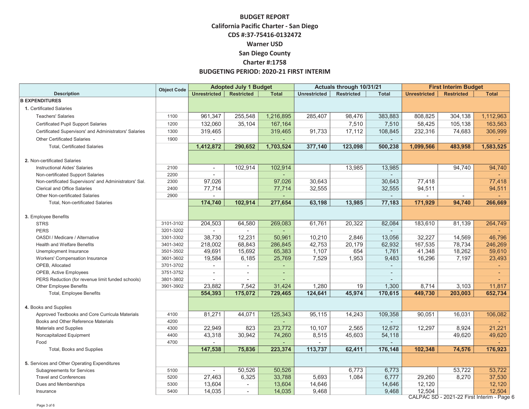| <b>Object Code</b><br><b>Restricted</b><br><b>Restricted</b><br><b>Description</b><br><b>Unrestricted</b><br><b>Total</b><br><b>Unrestricted</b><br><b>Total</b><br><b>Unrestricted</b><br><b>Restricted</b><br><b>B EXPENDITURES</b><br>1. Certificated Salaries | <b>Total</b> |
|-------------------------------------------------------------------------------------------------------------------------------------------------------------------------------------------------------------------------------------------------------------------|--------------|
|                                                                                                                                                                                                                                                                   |              |
|                                                                                                                                                                                                                                                                   |              |
|                                                                                                                                                                                                                                                                   |              |
| 961,347<br>255,548<br>1,216,895<br>808,825<br>304,138<br><b>Teachers' Salaries</b><br>1100<br>285,407<br>98,476<br>383,883                                                                                                                                        | 1,112,963    |
| 132,060<br>35,104<br>7,510<br>58,425<br>105,138<br>Certificated Pupil Support Salaries<br>1200<br>167,164<br>7,510                                                                                                                                                | 163,563      |
| 91,733<br>17,112<br>232,316<br>74,683<br>319,465<br>319,465<br>108,845<br>Certificated Supervisors' and Administrators' Salaries<br>1300                                                                                                                          | 306,999      |
| <b>Other Certificated Salaries</b><br>1900                                                                                                                                                                                                                        |              |
| <b>Total, Certificated Salaries</b><br>1,412,872<br>290,652<br>1,703,524<br>377,140<br>123,098<br>500,238<br>1,099,566<br>483,958                                                                                                                                 | 1,583,525    |
|                                                                                                                                                                                                                                                                   |              |
| 2. Non-certificated Salaries                                                                                                                                                                                                                                      |              |
| 102,914<br>102,914<br>13,985<br>13,985<br>94,740<br>2100<br><b>Instructional Aides' Salaries</b><br>$\sim$                                                                                                                                                        | 94,740       |
| Non-certificated Support Salaries<br>2200<br>$\sim$<br>$\overline{\phantom{a}}$                                                                                                                                                                                   |              |
| 97,026<br>97,026<br>30,643<br>2300<br>30,643<br>77,418<br>Non-certificated Supervisors' and Administrators' Sal.                                                                                                                                                  | 77,418       |
| <b>Clerical and Office Salaries</b><br>2400<br>77,714<br>32,555<br>94,511<br>77,714<br>32,555                                                                                                                                                                     | 94,511       |
| Other Non-certificated Salaries<br>2900<br>$\overline{\phantom{a}}$<br>$\sim$<br>$\overline{\phantom{a}}$<br>$\sim$                                                                                                                                               | $\sim$       |
| 174,740<br>102,914<br>63,198<br>13,985<br>77,183<br>277,654<br>171,929<br>94,740<br>Total, Non-certificated Salaries                                                                                                                                              | 266,669      |
|                                                                                                                                                                                                                                                                   |              |
| 3. Employee Benefits                                                                                                                                                                                                                                              |              |
| 204,503<br>269,083<br>61,761<br>20,322<br>82,084<br>183,610<br>81,139<br><b>STRS</b><br>3101-3102<br>64,580                                                                                                                                                       | 264,749      |
| <b>PERS</b><br>3201-3202<br>$\sim$<br>$\sim$                                                                                                                                                                                                                      |              |
| 38,730<br>10,210<br>3301-3302<br>12,231<br>50,961<br>2,846<br>13,056<br>32,227<br>14,569<br>OASDI / Medicare / Alternative                                                                                                                                        | 46,796       |
| 218,002<br>68,843<br>286,845<br>42,753<br>20,179<br>62,932<br>167,535<br>78,734<br>3401-3402<br>Health and Welfare Benefits                                                                                                                                       | 246,269      |
| 49,691<br>15,692<br>65,383<br>1,107<br>654<br>41,348<br>18,262<br>3501-3502<br>1,761<br>Unemployment Insurance                                                                                                                                                    | 59,610       |
| 7,529<br>7,197<br>19,584<br>6,185<br>25,769<br>1,953<br>9,483<br>16,296<br>Workers' Compensation Insurance<br>3601-3602                                                                                                                                           | 23,493       |
| 3701-3702<br>OPEB, Allocated                                                                                                                                                                                                                                      |              |
| 3751-3752<br>OPEB, Active Employees<br>$\sim$<br>$\sim$<br>$\sim$<br>٠                                                                                                                                                                                            | $\sim$       |
| 3801-3802<br>PERS Reduction (for revenue limit funded schools)<br>$\sim$<br>$\sim$                                                                                                                                                                                |              |
| 23,882<br>7,542<br>31,424<br>1,280<br>19<br>1,300<br>8,714<br>3,103<br><b>Other Employee Benefits</b><br>3901-3902                                                                                                                                                | 11,817       |
| 175,072<br>45,974<br>Total, Employee Benefits<br>554,393<br>729,465<br>124,641<br>170,615<br>449,730<br>203,003                                                                                                                                                   | 652,734      |
|                                                                                                                                                                                                                                                                   |              |
| 4. Books and Supplies                                                                                                                                                                                                                                             |              |
| 81,271<br>125,343<br>95,115<br>14,243<br>109,358<br>90,051<br>16,031<br>Approved Textbooks and Core Curricula Materials<br>4100<br>44,071<br>4200                                                                                                                 | 106,082      |
| Books and Other Reference Materials<br>22,949<br>823<br>2,565<br>12,672<br>4300<br>23,772<br>10,107<br>12,297<br>8,924                                                                                                                                            | 21,221       |
| Materials and Supplies<br>43,318<br>4400                                                                                                                                                                                                                          | 49,620       |
| 30,942<br>74,260<br>8,515<br>45,603<br>54,118<br>49,620<br>Noncapitalized Equipment<br>4700<br>Food<br>$\sim$<br>$\sim$<br>$\sim$                                                                                                                                 | a.           |
| 147,538<br>75,836<br>62,411<br>176,148<br>223,374<br>113,737<br>102,348<br>74,576<br>Total, Books and Supplies                                                                                                                                                    | 176,923      |
|                                                                                                                                                                                                                                                                   |              |
| 5. Services and Other Operating Expenditures                                                                                                                                                                                                                      |              |
| 50,526<br>53,722<br>Subagreements for Services<br>5100<br>50,526<br>6,773<br>6,773<br>$\overline{a}$                                                                                                                                                              | 53,722       |
| <b>Travel and Conferences</b><br>5200<br>33,788<br>6,777<br>8,270<br>27,463<br>6,325<br>5,693<br>1,084<br>29,260                                                                                                                                                  | 37,530       |
| 13,604<br>13,604<br>12,120<br>5300<br>14,646<br>14,646<br>Dues and Memberships<br>$\sim$                                                                                                                                                                          | 12,120       |
| 9,468<br>14,035<br>14,035<br>9,468<br>12,504<br>5400<br>Insurance<br>$\overline{\phantom{a}}$                                                                                                                                                                     | 12,504       |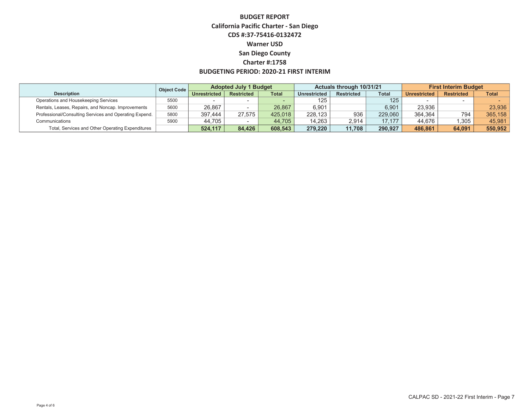|                                                        | Object Code | <b>Adopted July 1 Budget</b> |                   |              | Actuals through 10/31/21 |                   |              | <b>First Interim Budget</b> |                   |              |
|--------------------------------------------------------|-------------|------------------------------|-------------------|--------------|--------------------------|-------------------|--------------|-----------------------------|-------------------|--------------|
| <b>Description</b>                                     |             | Unrestricted                 | <b>Restricted</b> | <b>Total</b> | <b>Unrestricted</b>      | <b>Restricted</b> | <b>Total</b> | <b>Unrestricted</b>         | <b>Restricted</b> | <b>Total</b> |
| Operations and Housekeeping Services                   | 5500        |                              |                   |              | 125                      |                   | 125          |                             |                   |              |
| Rentals, Leases, Repairs, and Noncap. Improvements     | 5600        | 26.867                       |                   | 26.867       | 6.901                    |                   | 6.901        | 23.936                      |                   | 23.936       |
| Professional/Consulting Services and Operating Expend. | 5800        | 397.444                      | 27.575            | 425.018      | 228.123                  | 936               | 229.060      | 364.364                     | 794               | 365,158      |
| Communications                                         | 5900        | 44.705                       |                   | 44.705       | 14.263                   | 2.914             | 17.177       | 44.676                      | ,305              | 45.981       |
| Total, Services and Other Operating Expenditures       |             | 524.117                      | 84.426            | 608.543      | 279.220                  | 11.708            | 290.927      | 486.861                     | 64.091            | 550.952      |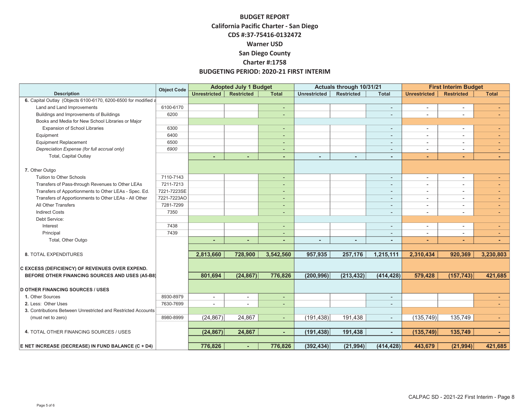|                                                                | <b>Object Code</b> | <b>Adopted July 1 Budget</b> |                   |                          | Actuals through 10/31/21 |                   |                          | <b>First Interim Budget</b> |                          |                |
|----------------------------------------------------------------|--------------------|------------------------------|-------------------|--------------------------|--------------------------|-------------------|--------------------------|-----------------------------|--------------------------|----------------|
| <b>Description</b>                                             |                    | <b>Unrestricted</b>          | <b>Restricted</b> | <b>Total</b>             | <b>Unrestricted</b>      | <b>Restricted</b> | <b>Total</b>             | <b>Unrestricted</b>         | <b>Restricted</b>        | <b>Total</b>   |
| 6. Capital Outlay (Objects 6100-6170, 6200-6500 for modified a |                    |                              |                   |                          |                          |                   |                          |                             |                          |                |
| Land and Land Improvements                                     | 6100-6170          |                              |                   | $\overline{\phantom{a}}$ |                          |                   | $\overline{\phantom{a}}$ | $\blacksquare$              | $\overline{a}$           |                |
| Buildings and Improvements of Buildings                        | 6200               |                              |                   | ٠                        |                          |                   | ٠                        | ۰                           |                          |                |
| Books and Media for New School Libraries or Major              |                    |                              |                   |                          |                          |                   |                          |                             |                          |                |
| <b>Expansion of School Libraries</b>                           | 6300               |                              |                   | ٠.                       |                          |                   | $\overline{\phantom{a}}$ | $\blacksquare$              | $\blacksquare$           | ٠.             |
| Equipment                                                      | 6400               |                              |                   | ٠                        |                          |                   | ٠                        | $\blacksquare$              |                          |                |
| <b>Equipment Replacement</b>                                   | 6500               |                              |                   | ٠                        |                          |                   | $\overline{\phantom{a}}$ | $\overline{a}$              |                          |                |
| Depreciation Expense (for full accrual only)                   | 6900               |                              |                   | $\overline{\phantom{0}}$ |                          |                   |                          | $\overline{a}$              |                          | $\overline{a}$ |
| <b>Total, Capital Outlay</b>                                   |                    |                              |                   | $\overline{a}$           |                          |                   |                          | $\overline{\phantom{0}}$    |                          | ÷              |
| 7. Other Outgo                                                 |                    |                              |                   |                          |                          |                   |                          |                             |                          |                |
| Tuition to Other Schools                                       | 7110-7143          |                              |                   | ٠                        |                          |                   | $\overline{\phantom{a}}$ | $\sim$                      | $\overline{\phantom{a}}$ | ٠              |
| Transfers of Pass-through Revenues to Other LEAs               | 7211-7213          |                              |                   | ٠                        |                          |                   | ٠                        | $\sim$                      | $\overline{\phantom{0}}$ | ٠              |
| Transfers of Apportionments to Other LEAs - Spec. Ed.          | 7221-7223SE        |                              |                   | ٠                        |                          |                   | $\overline{\phantom{a}}$ | $\overline{\phantom{a}}$    | $\blacksquare$           | ۰.             |
| Transfers of Apportionments to Other LEAs - All Other          | 7221-7223AO        |                              |                   | ٠                        |                          |                   | ٠                        | ٠                           |                          | ٠              |
| All Other Transfers                                            | 7281-7299          |                              |                   | ٠                        |                          |                   |                          | $\overline{a}$              | $\overline{\phantom{0}}$ | ٠              |
| <b>Indirect Costs</b>                                          | 7350               |                              |                   | ٠                        |                          |                   |                          | $\overline{a}$              | $\blacksquare$           | ٠              |
| Debt Service:                                                  |                    |                              |                   |                          |                          |                   |                          |                             |                          |                |
| Interest                                                       | 7438               |                              |                   | ٠                        |                          |                   | $\blacksquare$           | $\blacksquare$              | $\blacksquare$           | ٠              |
| Principal                                                      | 7439               |                              |                   | ٠                        |                          |                   | ٠                        | $\overline{\phantom{0}}$    | ۰                        | ٠              |
| Total, Other Outgo                                             |                    |                              | $\overline{a}$    | $\sim$                   |                          | ٠                 | $\blacksquare$           | ٠                           | ۰                        | ۰              |
|                                                                |                    |                              |                   |                          |                          |                   |                          |                             |                          |                |
| <b>8. TOTAL EXPENDITURES</b>                                   |                    | 2,813,660                    | 728,900           | 3,542,560                | 957,935                  | 257,176           | 1,215,111                | 2,310,434                   | 920,369                  | 3,230,803      |
|                                                                |                    |                              |                   |                          |                          |                   |                          |                             |                          |                |
| C EXCESS (DEFICIENCY) OF REVENUES OVER EXPEND.                 |                    |                              |                   |                          |                          |                   |                          |                             |                          |                |
| BEFORE OTHER FINANCING SOURCES AND USES (A5-B8)                |                    | 801,694                      | (24, 867)         | 776,826                  | (200, 996)               | (213, 432)        | (414, 428)               | 579,428                     | (157, 743)               | 421,685        |
|                                                                |                    |                              |                   |                          |                          |                   |                          |                             |                          |                |
| <b>D OTHER FINANCING SOURCES / USES</b>                        |                    |                              |                   |                          |                          |                   |                          |                             |                          |                |
| 1. Other Sources                                               | 8930-8979          | $\overline{\phantom{a}}$     | $\blacksquare$    | ٠                        |                          |                   | $\blacksquare$           |                             |                          | ٠              |
| 2. Less: Other Uses                                            | 7630-7699          |                              |                   | ٠                        |                          |                   |                          |                             |                          |                |
| 3. Contributions Between Unrestricted and Restricted Accounts  |                    |                              |                   |                          |                          |                   |                          |                             |                          |                |
| (must net to zero)                                             | 8980-8999          | (24, 867)                    | 24,867            | $\overline{\phantom{a}}$ | (191, 438)               | 191,438           | $\sim$                   | (135, 749)                  | 135,749                  | $\sim$         |
| 4. TOTAL OTHER FINANCING SOURCES / USES                        |                    | (24, 867)                    | 24,867            | $\sim$                   | (191, 438)               | 191,438           | $\blacksquare$           | (135, 749)                  | 135,749                  | $\sim$         |
|                                                                |                    |                              |                   |                          |                          |                   |                          |                             |                          |                |
| E NET INCREASE (DECREASE) IN FUND BALANCE (C + D4)             |                    | 776,826                      | ٠                 | 776,826                  | (392, 434)               | (21, 994)         | (414, 428)               | 443,679                     | (21, 994)                | 421,685        |
|                                                                |                    |                              |                   |                          |                          |                   |                          |                             |                          |                |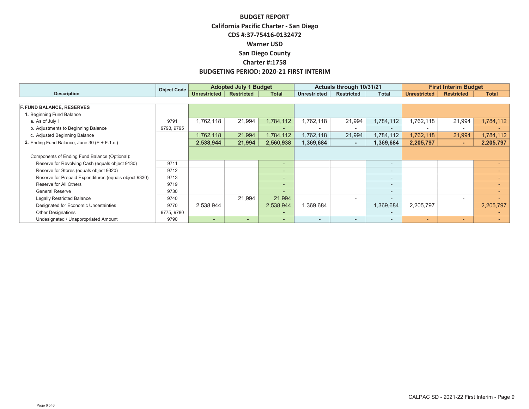|                                                       | Object Code |                          | <b>Adopted July 1 Budget</b> |                          |                          | Actuals through 10/31/21 |                          |                          | <b>First Interim Budget</b> |              |  |
|-------------------------------------------------------|-------------|--------------------------|------------------------------|--------------------------|--------------------------|--------------------------|--------------------------|--------------------------|-----------------------------|--------------|--|
| <b>Description</b>                                    |             | <b>Unrestricted</b>      | <b>Restricted</b>            | <b>Total</b>             | <b>Unrestricted</b>      | <b>Restricted</b>        | <b>Total</b>             | <b>Unrestricted</b>      | <b>Restricted</b>           | <b>Total</b> |  |
|                                                       |             |                          |                              |                          |                          |                          |                          |                          |                             |              |  |
| <b>F. FUND BALANCE, RESERVES</b>                      |             |                          |                              |                          |                          |                          |                          |                          |                             |              |  |
| 1. Beginning Fund Balance                             |             |                          |                              |                          |                          |                          |                          |                          |                             |              |  |
| a. As of July 1                                       | 9791        | 1,762,118                | 21,994                       | 1,784,112                | 1,762,118                | 21,994                   | 1,784,112                | 1,762,118                | 21,994                      | 1,784,112    |  |
| b. Adjustments to Beginning Balance                   | 9793, 9795  |                          |                              | -                        | $\overline{\phantom{0}}$ |                          |                          | $\overline{\phantom{a}}$ |                             |              |  |
| c. Adjusted Beginning Balance                         |             | 1,762,118                | 21,994                       | 1,784,112                | 1,762,118                | 21,994                   | 1,784,112                | 1,762,118                | 21,994                      | 1,784,112    |  |
| 2. Ending Fund Balance, June 30 ( $E + F.1.c.$ )      |             | 2,538,944                | 21,994                       | 2,560,938                | 1,369,684                | $\sim$                   | 1,369,684                | 2,205,797                | н.                          | 2,205,797    |  |
|                                                       |             |                          |                              |                          |                          |                          |                          |                          |                             |              |  |
| Components of Ending Fund Balance (Optional):         |             |                          |                              |                          |                          |                          |                          |                          |                             |              |  |
| Reserve for Revolving Cash (equals object 9130)       | 9711        |                          |                              | $\sim$                   |                          |                          | $\sim$                   |                          |                             |              |  |
| Reserve for Stores (equals object 9320)               | 9712        |                          |                              | $\overline{\phantom{a}}$ |                          |                          | $\overline{\phantom{0}}$ |                          |                             |              |  |
| Reserve for Prepaid Expenditures (equals object 9330) | 9713        |                          |                              | $\overline{\phantom{a}}$ |                          |                          | $\overline{\phantom{0}}$ |                          |                             |              |  |
| Reserve for All Others                                | 9719        |                          |                              | $\overline{\phantom{a}}$ |                          |                          | $\sim$                   |                          |                             |              |  |
| <b>General Reserve</b>                                | 9730        |                          |                              | -                        |                          |                          |                          |                          |                             |              |  |
| <b>Legally Restricted Balance</b>                     | 9740        |                          | 21,994                       | 21,994                   |                          |                          |                          |                          |                             |              |  |
| Designated for Economic Uncertainties                 | 9770        | 2,538,944                |                              | 2,538,944                | 1,369,684                |                          | 1,369,684                | 2,205,797                |                             | 2,205,797    |  |
| <b>Other Designations</b>                             | 9775, 9780  |                          |                              | -                        |                          |                          |                          |                          |                             |              |  |
| Undesignated / Unappropriated Amount                  | 9790        | $\overline{\phantom{a}}$ | $\overline{\phantom{0}}$     | $\overline{\phantom{a}}$ | $\overline{\phantom{0}}$ | $\overline{\phantom{0}}$ |                          | ۰                        | $\overline{\phantom{0}}$    |              |  |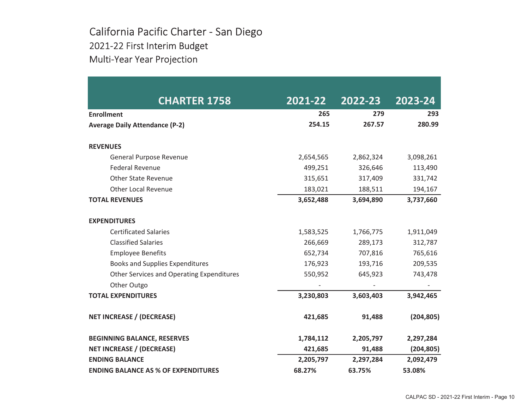# California Pacific Charter - San Diego 2021-22 First Interim Budget Multi-Year Year Projection

| <b>CHARTER 1758</b>                              | 2021-22   | 2022-23   | 2023-24    |
|--------------------------------------------------|-----------|-----------|------------|
| <b>Enrollment</b>                                | 265       | 279       | 293        |
| <b>Average Daily Attendance (P-2)</b>            | 254.15    | 267.57    | 280.99     |
| <b>REVENUES</b>                                  |           |           |            |
| General Purpose Revenue                          | 2,654,565 | 2,862,324 | 3,098,261  |
| <b>Federal Revenue</b>                           | 499,251   | 326,646   | 113,490    |
| <b>Other State Revenue</b>                       | 315,651   | 317,409   | 331,742    |
| <b>Other Local Revenue</b>                       | 183,021   | 188,511   | 194,167    |
| <b>TOTAL REVENUES</b>                            | 3,652,488 | 3,694,890 | 3,737,660  |
| <b>EXPENDITURES</b>                              |           |           |            |
| <b>Certificated Salaries</b>                     | 1,583,525 | 1,766,775 | 1,911,049  |
| <b>Classified Salaries</b>                       | 266,669   | 289,173   | 312,787    |
| <b>Employee Benefits</b>                         | 652,734   | 707,816   | 765,616    |
| <b>Books and Supplies Expenditures</b>           | 176,923   | 193,716   | 209,535    |
| <b>Other Services and Operating Expenditures</b> | 550,952   | 645,923   | 743,478    |
| Other Outgo                                      |           |           |            |
| <b>TOTAL EXPENDITURES</b>                        | 3,230,803 | 3,603,403 | 3,942,465  |
| <b>NET INCREASE / (DECREASE)</b>                 | 421,685   | 91,488    | (204, 805) |
| <b>BEGINNING BALANCE, RESERVES</b>               | 1,784,112 | 2,205,797 | 2,297,284  |
| <b>NET INCREASE / (DECREASE)</b>                 | 421,685   | 91,488    | (204, 805) |
| <b>ENDING BALANCE</b>                            | 2,205,797 | 2,297,284 | 2,092,479  |
| <b>ENDING BALANCE AS % OF EXPENDITURES</b>       | 68.27%    | 63.75%    | 53.08%     |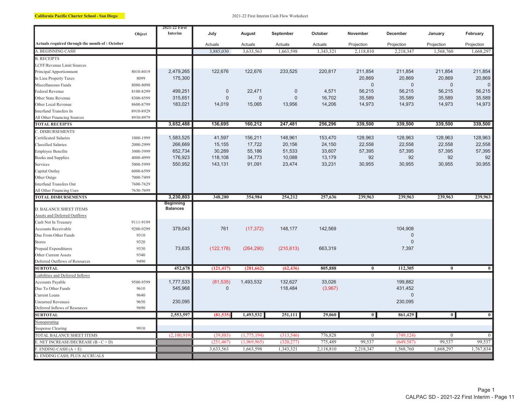California Pacific Charter School - San Diego 2021-22 First Interim Cash Flow Worksheet

|                                                               | Object    | 2021-22 First<br>Interim            | July         | August      | September      | October   | November         | December       | January        | February       |
|---------------------------------------------------------------|-----------|-------------------------------------|--------------|-------------|----------------|-----------|------------------|----------------|----------------|----------------|
| Actuals required through the month of: October                |           |                                     | Actuals      | Actuals     | Actuals        | Actuals   | Projection       | Projection     | Projection     | Projection     |
| A. BEGINNING CASH                                             |           |                                     | 3,885,030    | 3,633,563   | 1,663,598      | 1,343,321 | 2,118,810        | 2,218,347      | 1,568,760      | 1,668,297      |
| <b>B. RECEIPTS</b>                                            |           |                                     |              |             |                |           |                  |                |                |                |
| LCFF/Revenue Limit Sources                                    |           |                                     |              |             |                |           |                  |                |                |                |
| Principal Apportionment                                       | 8010-8019 | 2,479,265                           | 122,676      | 122,676     | 233,525        | 220,817   | 211,854          | 211,854        | 211,854        | 211,854        |
| In Lieu Property Taxes                                        | 8099      | 175,300                             |              |             |                |           | 20,869           | 20,869         | 20,869         | 20,869         |
| Miscellaneous Funds                                           | 8080-8098 |                                     |              |             |                |           | $\mathbf 0$      | $\mathbf 0$    | $\mathbf 0$    | $\mathbf 0$    |
| Federal Revenue                                               | 8100-8299 | 499,251                             | $\mathbf 0$  | 22,471      | $\overline{0}$ | 4,571     | 56,215           | 56,215         | 56,215         | 56,215         |
| Other State Revenue                                           | 8300-8599 | 315,651                             | $\mathbf 0$  | $\pmb{0}$   | $\mathbf 0$    | 16,702    | 35,589           | 35,589         | 35,589         | 35,589         |
| Other Local Revenue                                           | 8600-8799 | 183,021                             | 14,019       | 15,065      | 13,956         | 14,206    | 14,973           | 14,973         | 14,973         | 14,973         |
| Interfund Transfers In                                        | 8910-8929 |                                     |              |             |                |           |                  |                |                |                |
| All Other Financing Sources                                   | 8930-8979 |                                     |              |             |                |           |                  |                |                |                |
| <b>TOTAL RECEIPTS</b>                                         |           | 3,652,488                           | 136,695      | 160,212     | 247,481        | 256,296   | 339,500          | 339,500        | 339,500        | 339,500        |
| <b>C. DISBURSEMENTS</b>                                       |           |                                     |              |             |                |           |                  |                |                |                |
| Certificated Salaries                                         | 1000-1999 | 1,583,525                           | 41,597       | 156,211     | 148,961        | 153,470   | 128,963          | 128,963        | 128,963        | 128,963        |
| <b>Classified Salaries</b>                                    | 2000-2999 | 266,669                             | 15,155       | 17,722      | 20,156         | 24,150    | 22,558           | 22,558         | 22,558         | 22,558         |
| <b>Employee Benefits</b>                                      | 3000-3999 | 652,734                             | 30,289       | 55,186      | 51,533         | 33,607    | 57,395           | 57,395         | 57,395         | 57,395         |
| <b>Books and Supplies</b>                                     | 4000-4999 | 176,923                             | 118,108      | 34,773      | 10,088         | 13,179    | 92               | 92             | 92             | 92             |
| Services                                                      | 5000-5999 | 550,952                             | 143,131      | 91,091      | 23,474         | 33,231    | 30,955           | 30,955         | 30,955         | 30,955         |
| Capital Outlay                                                | 6000-6599 |                                     |              |             |                |           |                  |                |                |                |
| Other Outgo                                                   | 7000-7499 |                                     |              |             |                |           |                  |                |                |                |
| <b>Interfund Transfers Out</b>                                | 7600-7629 |                                     |              |             |                |           |                  |                |                |                |
| All Other Financing Uses                                      | 7630-7699 |                                     |              |             |                |           |                  |                |                |                |
| <b>TOTAL DISBURSEMENTS</b>                                    |           | 3,230,803                           | 348,280      | 354,984     | 254,212        | 257,636   | 239,963          | 239,963        | 239,963        | 239,963        |
|                                                               |           | <b>Beginning</b><br><b>Balances</b> |              |             |                |           |                  |                |                |                |
| <b>D. BALANCE SHEET ITEMS</b><br>Assets and Deferred Outflows |           |                                     |              |             |                |           |                  |                |                |                |
| Cash Not In Treasury                                          | 9111-9199 |                                     |              |             |                |           |                  |                |                |                |
| <b>Accounts Receivable</b>                                    | 9200-9299 | 379,043                             | 761          | (17, 372)   | 148,177        | 142,569   |                  | 104,908        |                |                |
| Due From Other Funds                                          | 9310      |                                     |              |             |                |           |                  | $\Omega$       |                |                |
| <b>Stores</b>                                                 | 9320      |                                     |              |             |                |           |                  | $\Omega$       |                |                |
| Prepaid Expenditures                                          | 9330      | 73,635                              | (122, 178)   | (264, 290)  | (210, 613)     | 663,319   |                  | 7,397          |                |                |
| Other Current Assets                                          | 9340      |                                     |              |             |                |           |                  |                |                |                |
| Deferred Outflows of Resources                                | 9490      |                                     |              |             |                |           |                  |                |                |                |
| <b>SUBTOTAL</b>                                               |           | 452,678                             | (121, 417)   | (281, 662)  | (62, 436)      | 805,888   | $\overline{0}$   | 112,305        | $\bf{0}$       | $\overline{0}$ |
| Liabilities and Deferred Inflows                              |           |                                     |              |             |                |           |                  |                |                |                |
| Accounts Payable                                              | 9500-9599 | 1,777,533                           | (81, 535)    | 1,493,532   | 132,627        | 33,026    |                  | 199,882        |                |                |
| Due To Other Funds                                            | 9610      | 545,968                             | $\mathbf{0}$ |             | 118,484        | (3,967)   |                  | 431,452        |                |                |
| Current Loans                                                 | 9640      |                                     |              |             |                |           |                  | $\overline{0}$ |                |                |
| <b>Unearned Revenues</b>                                      | 9650      | 230,095                             |              |             |                |           |                  | 230,095        |                |                |
| Deferred Inflows of Resources                                 | 9690      |                                     |              |             |                |           |                  |                |                |                |
| <b>SUBTOTAL</b>                                               |           | 2,553,597                           | (81, 535)    | 1,493,532   | 251,111        | 29,060    | $\overline{0}$   | 861,429        | $\overline{0}$ | $\overline{0}$ |
| Nonoperating                                                  |           |                                     |              |             |                |           |                  |                |                |                |
| <b>Suspense Clearing</b>                                      | 9910      |                                     |              |             |                |           |                  |                |                |                |
| TOTAL BALANCE SHEET ITEMS                                     |           | (2,100,919)                         | (39, 883)    | (1,775,194) | (313, 546)     | 776,828   | $\boldsymbol{0}$ | (749, 124)     | $\overline{0}$ | $\overline{0}$ |
| E. NET INCREASE/DECREASE $(B - C + D)$                        |           |                                     | (251, 467)   | (1,969,965) | (320, 277)     | 775,489   | 99,537           | (649, 587)     | 99,537         | 99,537         |
| $F.$ ENDING CASH $(A + E)$                                    |           |                                     | 3,633,563    | 1,663,598   | 1,343,321      | 2,118,810 | 2,218,347        | 1,568,760      | 1,668,297      | 1,767,834      |
| G. ENDING CASH, PLUS ACCRUALS                                 |           |                                     |              |             |                |           |                  |                |                |                |
|                                                               |           |                                     |              |             |                |           |                  |                |                |                |